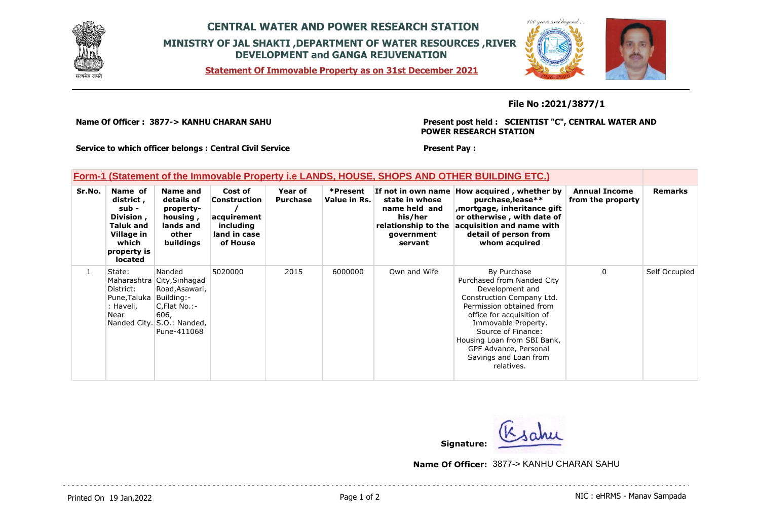

## **CENTRAL WATER AND POWER RESEARCH STATION MINISTRY OF JAL SHAKTI ,DEPARTMENT OF WATER RESOURCES ,RIVER DEVELOPMENT and GANGA REJUVENATION**

**Statement Of Immovable Property as on 31st December 2021**



## **File No :2021/3877/1**

**Name Of Officer : 3877-> KANHU CHARAN SAHU** 

**Present post held : SCIENTIST "C", CENTRAL WATER AND POWER RESEARCH STATION**

**Service to which officer belongs : Central Civil Service**

## **Form-1 (Statement of the Immovable Property i.e LANDS, HOUSE, SHOPS AND OTHER BUILDING ETC.)**

| Sr.No. | Name of<br>district,<br>sub -<br>Division,<br><b>Taluk and</b><br>Village in<br>which<br>property is<br>located | Name and<br>details of<br>property-<br>housing,<br>lands and<br>other<br>buildings                                                        | Cost of<br><b>Construction</b><br>acquirement<br>including<br>land in case<br>of House | Year of<br><b>Purchase</b> | *Present<br>Value in Rs. | state in whose<br>name held and<br>his/her<br>relationship to the<br>government<br>servant | If not in own name How acquired, whether by<br>purchase, lease**<br>mortgage, inheritance gift,<br>or otherwise, with date of<br>acquisition and name with<br>detail of person from<br>whom acquired                                                                                           | <b>Annual Income</b><br>from the property | <b>Remarks</b> |
|--------|-----------------------------------------------------------------------------------------------------------------|-------------------------------------------------------------------------------------------------------------------------------------------|----------------------------------------------------------------------------------------|----------------------------|--------------------------|--------------------------------------------------------------------------------------------|------------------------------------------------------------------------------------------------------------------------------------------------------------------------------------------------------------------------------------------------------------------------------------------------|-------------------------------------------|----------------|
|        | State:<br>District:<br>Pune, Taluka<br>: Haveli,<br>Near                                                        | Nanded<br>Maharashtra City, Sinhagad<br>Road, Asawari,<br>Building:-<br>C,Flat No.:-<br>606,<br>Nanded City. S.O.: Nanded,<br>Pune-411068 | 5020000                                                                                | 2015                       | 6000000                  | Own and Wife                                                                               | By Purchase<br>Purchased from Nanded City<br>Development and<br>Construction Company Ltd.<br>Permission obtained from<br>office for acquisition of<br>Immovable Property.<br>Source of Finance:<br>Housing Loan from SBI Bank,<br>GPF Advance, Personal<br>Savings and Loan from<br>relatives. | 0                                         | Self Occupied  |

**Present Pay :** 

**Signature:**

**Name Of Officer:** 3877-> KANHU CHARAN SAHU

Printed On 19 Jan, 2022 **Page 1 of 2** Page 1 of 2 **Page 1 of 2** NIC : eHRMS - Manav Sampada